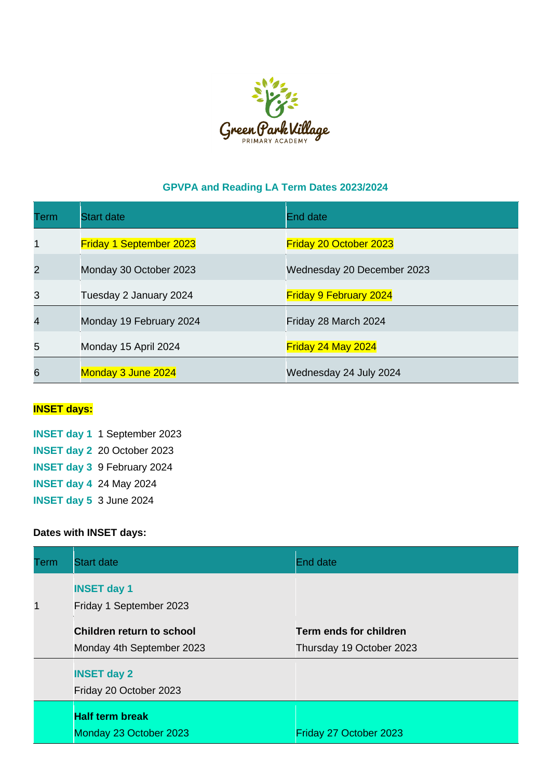

## **GPVPA and Reading LA Term Dates 2023/2024**

| Term | <b>Start date</b>              | End date                      |
|------|--------------------------------|-------------------------------|
| 1    | <b>Friday 1 September 2023</b> | <b>Friday 20 October 2023</b> |
| 2    | Monday 30 October 2023         | Wednesday 20 December 2023    |
| 3    | Tuesday 2 January 2024         | <b>Friday 9 February 2024</b> |
| 4    | Monday 19 February 2024        | Friday 28 March 2024          |
| 5    | Monday 15 April 2024           | Friday 24 May 2024            |
| 6    | Monday 3 June 2024             | Wednesday 24 July 2024        |

## **INSET days:**

**INSET day 1** 1 September 2023 **INSET day 2** 20 October 2023 **INSET day 3** 9 February 2024 **INSET day 4** 24 May 2024 **INSET day 5** 3 June 2024

## **Dates with INSET days:**

| Term | <b>Start date</b>                                             | <b>End date</b>                                           |
|------|---------------------------------------------------------------|-----------------------------------------------------------|
| 1    | <b>INSET day 1</b><br>Friday 1 September 2023                 |                                                           |
|      | <b>Children return to school</b><br>Monday 4th September 2023 | <b>Term ends for children</b><br>Thursday 19 October 2023 |
|      | <b>INSET day 2</b><br>Friday 20 October 2023                  |                                                           |
|      | <b>Half term break</b><br>Monday 23 October 2023              | Friday 27 October 2023                                    |